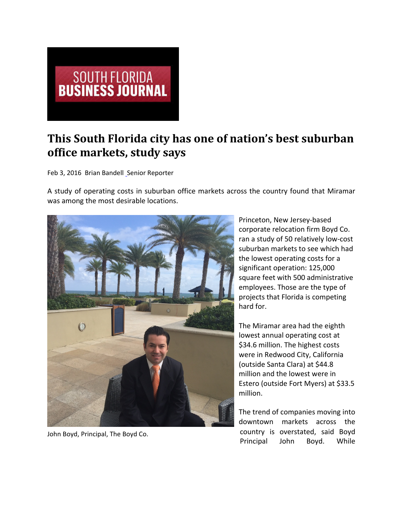

## **This South Florida city has one of nation's best suburban office markets, study says**

Feb 3, 2016 Brian Bandell Senior Reporter

A study of operating costs in suburban office markets across the country found that Miramar was among the most desirable locations.



John Boyd, Principal, The Boyd Co.

Princeton, New Jersey‐based corporate relocation firm Boyd Co. ran a study of 50 relatively low‐cost suburban markets to see which had the lowest operating costs for a significant operation: 125,000 square feet with 500 administrative employees. Those are the type of projects that Florida is competing hard for.

The Miramar area had the eighth lowest annual operating cost at \$34.6 million. The highest costs were in Redwood City, California (outside Santa Clara) at \$44.8 million and the lowest were in Estero (outside Fort Myers) at \$33.5 million.

The trend of companies moving into downtown markets across the country is overstated, said Boyd Principal John Boyd. While